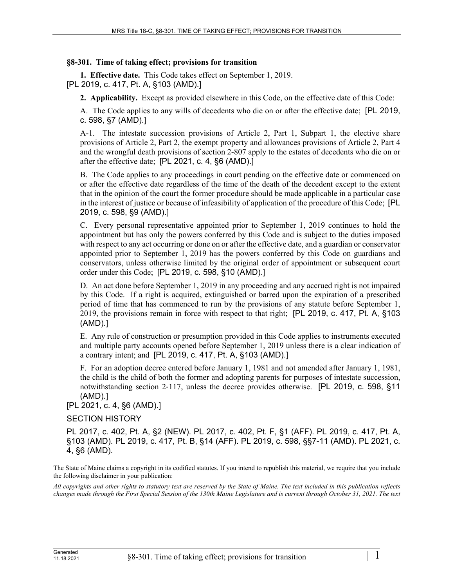## **§8-301. Time of taking effect; provisions for transition**

**1. Effective date.** This Code takes effect on September 1, 2019. [PL 2019, c. 417, Pt. A, §103 (AMD).]

**2. Applicability.** Except as provided elsewhere in this Code, on the effective date of this Code:

A. The Code applies to any wills of decedents who die on or after the effective date; [PL 2019, c. 598, §7 (AMD).]

A-1. The intestate succession provisions of Article 2, Part 1, Subpart 1, the elective share provisions of Article 2, Part 2, the exempt property and allowances provisions of Article 2, Part 4 and the wrongful death provisions of section 2-807 apply to the estates of decedents who die on or after the effective date; [PL 2021, c. 4, §6 (AMD).]

B. The Code applies to any proceedings in court pending on the effective date or commenced on or after the effective date regardless of the time of the death of the decedent except to the extent that in the opinion of the court the former procedure should be made applicable in a particular case in the interest of justice or because of infeasibility of application of the procedure of this Code; [PL 2019, c. 598, §9 (AMD).]

C. Every personal representative appointed prior to September 1, 2019 continues to hold the appointment but has only the powers conferred by this Code and is subject to the duties imposed with respect to any act occurring or done on or after the effective date, and a guardian or conservator appointed prior to September 1, 2019 has the powers conferred by this Code on guardians and conservators, unless otherwise limited by the original order of appointment or subsequent court order under this Code; [PL 2019, c. 598, §10 (AMD).]

D. An act done before September 1, 2019 in any proceeding and any accrued right is not impaired by this Code. If a right is acquired, extinguished or barred upon the expiration of a prescribed period of time that has commenced to run by the provisions of any statute before September 1, 2019, the provisions remain in force with respect to that right; [PL 2019, c. 417, Pt. A, §103 (AMD).]

E. Any rule of construction or presumption provided in this Code applies to instruments executed and multiple party accounts opened before September 1, 2019 unless there is a clear indication of a contrary intent; and [PL 2019, c. 417, Pt. A, §103 (AMD).]

F. For an adoption decree entered before January 1, 1981 and not amended after January 1, 1981, the child is the child of both the former and adopting parents for purposes of intestate succession, notwithstanding section 2-117, unless the decree provides otherwise. [PL 2019, c. 598, §11 (AMD).]

[PL 2021, c. 4, §6 (AMD).]

## SECTION HISTORY

PL 2017, c. 402, Pt. A, §2 (NEW). PL 2017, c. 402, Pt. F, §1 (AFF). PL 2019, c. 417, Pt. A, §103 (AMD). PL 2019, c. 417, Pt. B, §14 (AFF). PL 2019, c. 598, §§7-11 (AMD). PL 2021, c. 4, §6 (AMD).

The State of Maine claims a copyright in its codified statutes. If you intend to republish this material, we require that you include the following disclaimer in your publication:

*All copyrights and other rights to statutory text are reserved by the State of Maine. The text included in this publication reflects changes made through the First Special Session of the 130th Maine Legislature and is current through October 31, 2021. The text*